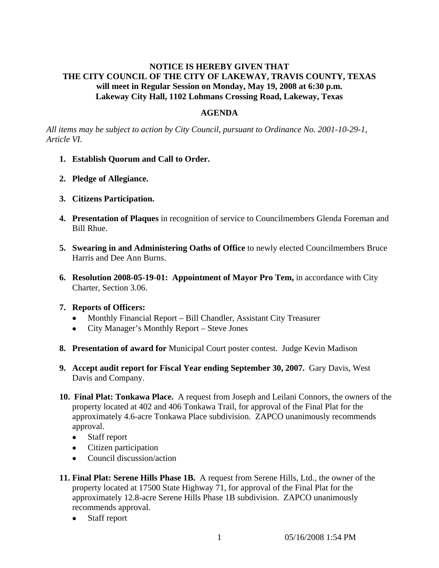# **NOTICE IS HEREBY GIVEN THAT THE CITY COUNCIL OF THE CITY OF LAKEWAY, TRAVIS COUNTY, TEXAS will meet in Regular Session on Monday, May 19, 2008 at 6:30 p.m. Lakeway City Hall, 1102 Lohmans Crossing Road, Lakeway, Texas**

### **AGENDA**

*All items may be subject to action by City Council, pursuant to Ordinance No. 2001-10-29-1, Article VI.* 

- **1. Establish Quorum and Call to Order.**
- **2. Pledge of Allegiance.**
- **3. Citizens Participation.**
- **4. Presentation of Plaques** in recognition of service to Councilmembers Glenda Foreman and Bill Rhue.
- **5. Swearing in and Administering Oaths of Office** to newly elected Councilmembers Bruce Harris and Dee Ann Burns.
- **6. Resolution 2008-05-19-01: Appointment of Mayor Pro Tem,** in accordance with City Charter, Section 3.06.
- **7. Reports of Officers:**
	- Monthly Financial Report Bill Chandler, Assistant City Treasurer
	- City Manager's Monthly Report Steve Jones
- **8. Presentation of award for** Municipal Court poster contest. Judge Kevin Madison
- **9. Accept audit report for Fiscal Year ending September 30, 2007.** Gary Davis, West Davis and Company.
- **10. Final Plat: Tonkawa Place.** A request from Joseph and Leilani Connors, the owners of the property located at 402 and 406 Tonkawa Trail, for approval of the Final Plat for the approximately 4.6-acre Tonkawa Place subdivision. ZAPCO unanimously recommends approval.
	- Staff report
	- Citizen participation
	- Council discussion/action
- **11. Final Plat: Serene Hills Phase 1B.** A request from Serene Hills, Ltd., the owner of the property located at 17500 State Highway 71, for approval of the Final Plat for the approximately 12.8-acre Serene Hills Phase 1B subdivision. ZAPCO unanimously recommends approval.
	- Staff report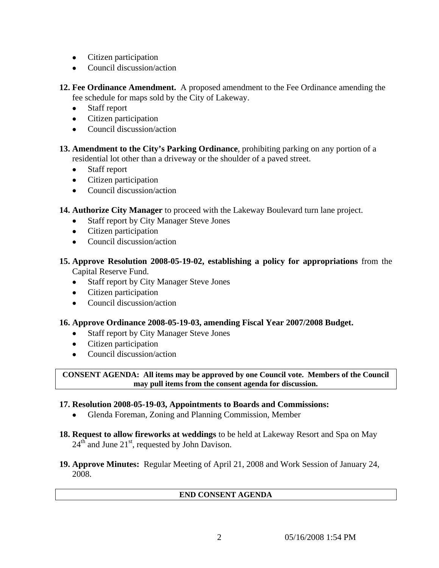- Citizen participation
- Council discussion/action

**12. Fee Ordinance Amendment.** A proposed amendment to the Fee Ordinance amending the fee schedule for maps sold by the City of Lakeway.

- Staff report
- Citizen participation
- Council discussion/action

**13. Amendment to the City's Parking Ordinance**, prohibiting parking on any portion of a residential lot other than a driveway or the shoulder of a paved street.

- Staff report
- Citizen participation
- Council discussion/action
- **14. Authorize City Manager** to proceed with the Lakeway Boulevard turn lane project.
	- Staff report by City Manager Steve Jones
	- Citizen participation
	- Council discussion/action
- **15. Approve Resolution 2008-05-19-02, establishing a policy for appropriations** from the Capital Reserve Fund.
	- Staff report by City Manager Steve Jones
	- Citizen participation
	- Council discussion/action

# **16. Approve Ordinance 2008-05-19-03, amending Fiscal Year 2007/2008 Budget.**

- Staff report by City Manager Steve Jones
- Citizen participation
- Council discussion/action

#### **CONSENT AGENDA: All items may be approved by one Council vote. Members of the Council may pull items from the consent agenda for discussion.**

# **17. Resolution 2008-05-19-03, Appointments to Boards and Commissions:**

- Glenda Foreman, Zoning and Planning Commission, Member
- **18. Request to allow fireworks at weddings** to be held at Lakeway Resort and Spa on May  $24<sup>th</sup>$  and June  $21<sup>st</sup>$ , requested by John Davison.
- **19. Approve Minutes:** Regular Meeting of April 21, 2008 and Work Session of January 24, 2008.

#### **END CONSENT AGENDA**